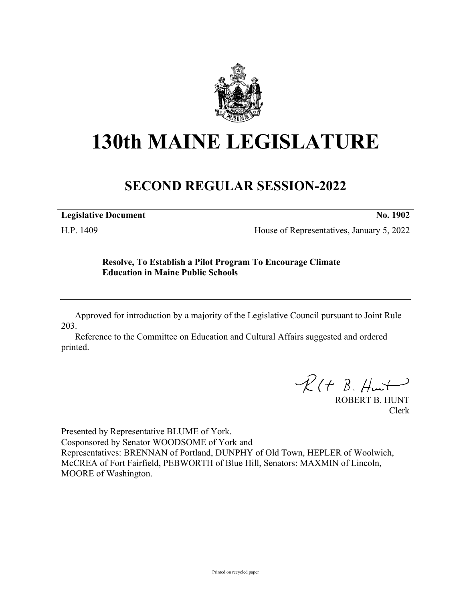

## **130th MAINE LEGISLATURE**

## **SECOND REGULAR SESSION-2022**

**Legislative Document No. 1902**

H.P. 1409 House of Representatives, January 5, 2022

## **Resolve, To Establish a Pilot Program To Encourage Climate Education in Maine Public Schools**

Approved for introduction by a majority of the Legislative Council pursuant to Joint Rule 203.

Reference to the Committee on Education and Cultural Affairs suggested and ordered printed.

 $R(H B. H +$ 

ROBERT B. HUNT Clerk

Presented by Representative BLUME of York. Cosponsored by Senator WOODSOME of York and Representatives: BRENNAN of Portland, DUNPHY of Old Town, HEPLER of Woolwich, McCREA of Fort Fairfield, PEBWORTH of Blue Hill, Senators: MAXMIN of Lincoln, MOORE of Washington.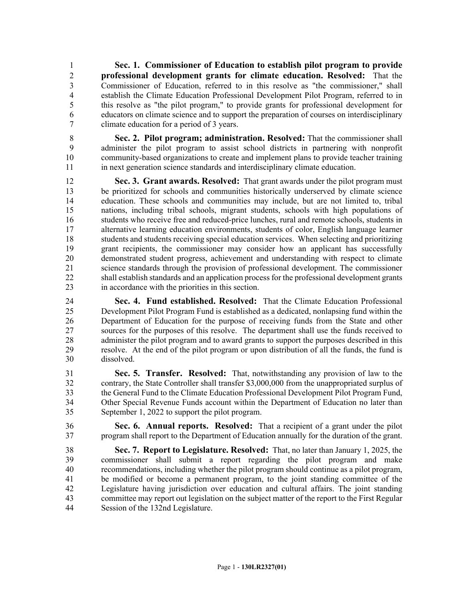1 **Sec. 1. Commissioner of Education to establish pilot program to provide**  2 **professional development grants for climate education. Resolved:** That the 3 Commissioner of Education, referred to in this resolve as "the commissioner," shall 4 establish the Climate Education Professional Development Pilot Program, referred to in 5 this resolve as "the pilot program," to provide grants for professional development for 6 educators on climate science and to support the preparation of courses on interdisciplinary 7 climate education for a period of 3 years.

8 **Sec. 2. Pilot program; administration. Resolved:** That the commissioner shall 9 administer the pilot program to assist school districts in partnering with nonprofit 10 community-based organizations to create and implement plans to provide teacher training 11 in next generation science standards and interdisciplinary climate education.

12 **Sec. 3. Grant awards. Resolved:** That grant awards under the pilot program must 13 be prioritized for schools and communities historically underserved by climate science 14 education. These schools and communities may include, but are not limited to, tribal 15 nations, including tribal schools, migrant students, schools with high populations of 16 students who receive free and reduced-price lunches, rural and remote schools, students in 17 alternative learning education environments, students of color, English language learner 18 students and students receiving special education services. When selecting and prioritizing 19 grant recipients, the commissioner may consider how an applicant has successfully 20 demonstrated student progress, achievement and understanding with respect to climate 21 science standards through the provision of professional development. The commissioner 22 shall establish standards and an application process for the professional development grants 23 in accordance with the priorities in this section.

24 **Sec. 4. Fund established. Resolved:** That the Climate Education Professional 25 Development Pilot Program Fund is established as a dedicated, nonlapsing fund within the 26 Department of Education for the purpose of receiving funds from the State and other 27 sources for the purposes of this resolve. The department shall use the funds received to 28 administer the pilot program and to award grants to support the purposes described in this 29 resolve. At the end of the pilot program or upon distribution of all the funds, the fund is 30 dissolved.

31 **Sec. 5. Transfer. Resolved:** That, notwithstanding any provision of law to the 32 contrary, the State Controller shall transfer \$3,000,000 from the unappropriated surplus of 33 the General Fund to the Climate Education Professional Development Pilot Program Fund, 34 Other Special Revenue Funds account within the Department of Education no later than 35 September 1, 2022 to support the pilot program.

36 **Sec. 6. Annual reports. Resolved:** That a recipient of a grant under the pilot 37 program shall report to the Department of Education annually for the duration of the grant.

38 **Sec. 7. Report to Legislature. Resolved:** That, no later than January 1, 2025, the 39 commissioner shall submit a report regarding the pilot program and make 40 recommendations, including whether the pilot program should continue as a pilot program, 41 be modified or become a permanent program, to the joint standing committee of the 42 Legislature having jurisdiction over education and cultural affairs. The joint standing 43 committee may report out legislation on the subject matter of the report to the First Regular 44 Session of the 132nd Legislature.